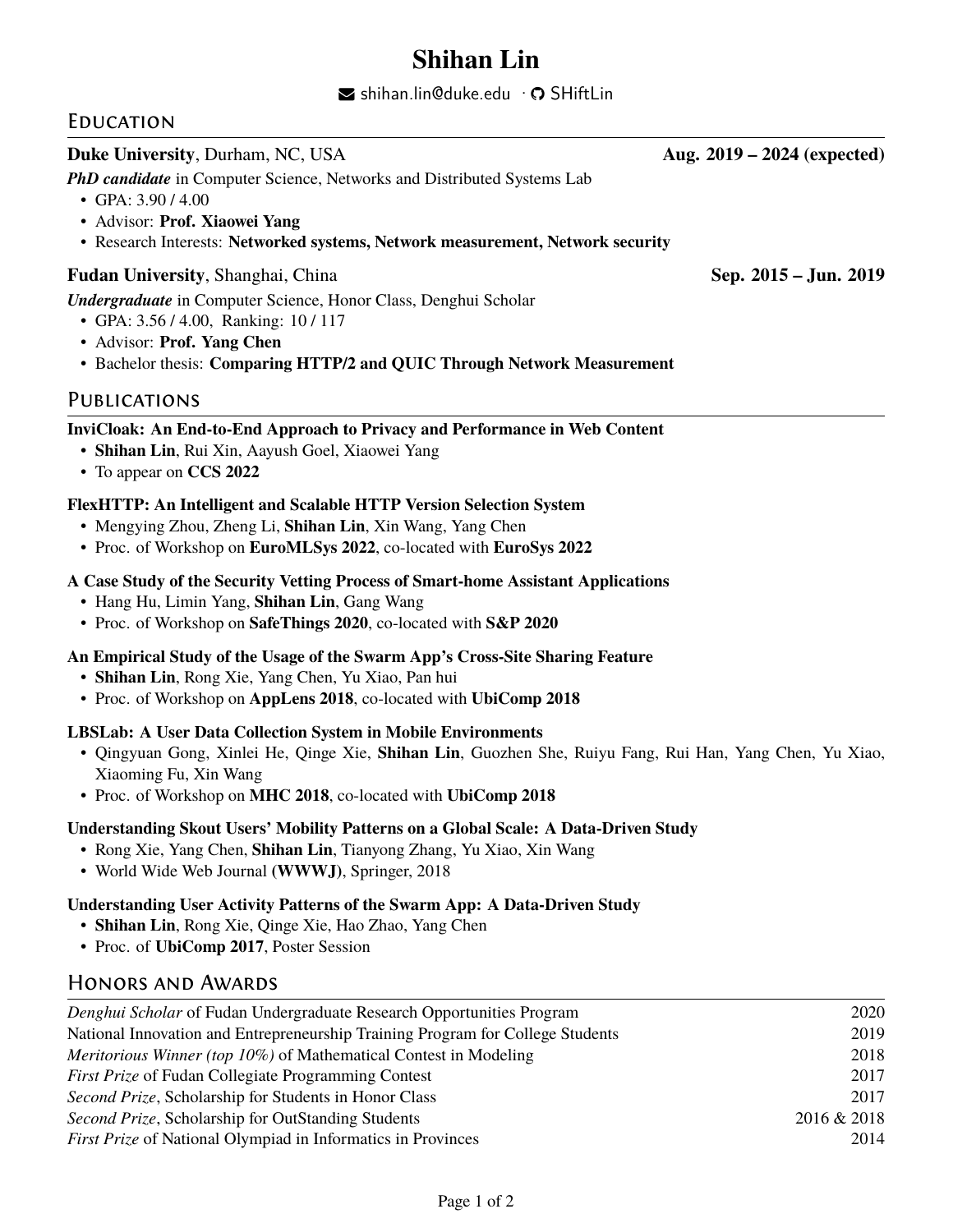# **Shihan Lin**

 $\blacktriangleright$  [shihan.lin@duke.edu](mailto:shihan.lin@duke.edu)  $\cdot$   $\heartsuit$  [SHiftLin](https://github.com/SHiftLin)

# **EDUCATION**

## **Duke University**, Durham, NC, USA **Aug. 2019 – 2024** (expected)

**PhD candidate** in Computer Science, Networks and Distributed Systems Lab

- GPA: 3.90 / 4.00
- Advisor: **Prof. Xiaowei Yang**
- Research Interests: **Networked systems, Network measurement, Network security**

#### **Fudan University**, Shanghai, China **Sep. 2015 – Jun. 2019** Sep. 2015 – Jun. 2019

*Undergraduate* in Computer Science, Honor Class, Denghui Scholar

- GPA: 3.56 / 4.00, Ranking: 10 / 117
- Advisor: **Prof. Yang Chen**
- Bachelor thesis: **Comparing HTTP/2 and QUIC Through Network Measurement**

# **PUBLICATIONS**

#### **InviCloak: An End-to-End Approach to Privacy and Performance in Web Content**

- **Shihan Lin**, Rui Xin, Aayush Goel, Xiaowei Yang
- To appear on **CCS 2022**

#### **FlexHTTP: An Intelligent and Scalable HTTP Version Selection System**

- Mengying Zhou, Zheng Li, **Shihan Lin**, Xin Wang, Yang Chen
- Proc. of Workshop on **EuroMLSys 2022**, co-located with **EuroSys 2022**

#### **A Case Study of the Security Vetting Process of Smart-home Assistant Applications**

- Hang Hu, Limin Yang, **Shihan Lin**, Gang Wang
- Proc. of Workshop on **SafeThings 2020**, co-located with **S&P 2020**

#### **An Empirical Study of the Usage of the Swarm App's Cross-Site Sharing Feature**

- **Shihan Lin**, Rong Xie, Yang Chen, Yu Xiao, Pan hui
- Proc. of Workshop on **AppLens 2018**, co-located with **UbiComp 2018**

#### **LBSLab: A User Data Collection System in Mobile Environments**

- Qingyuan Gong, Xinlei He, Qinge Xie, **Shihan Lin**, Guozhen She, Ruiyu Fang, Rui Han, Yang Chen, Yu Xiao, Xiaoming Fu, Xin Wang
- Proc. of Workshop on **MHC 2018**, co-located with **UbiComp 2018**

#### **Understanding Skout Users' Mobility Patterns on a Global Scale: A Data-Driven Study**

- Rong Xie, Yang Chen, **Shihan Lin**, Tianyong Zhang, Yu Xiao, Xin Wang
- World Wide Web Journal **(WWWJ)**, Springer, 2018

#### **Understanding User Activity Patterns of the Swarm App: A Data-Driven Study**

- **Shihan Lin**, Rong Xie, Qinge Xie, Hao Zhao, Yang Chen
- Proc. of **UbiComp 2017**, Poster Session

## Honors and Awards

| 2020        |
|-------------|
| 2019        |
| 2018        |
| 2017        |
| 2017        |
| 2016 & 2018 |
| 2014        |
|             |